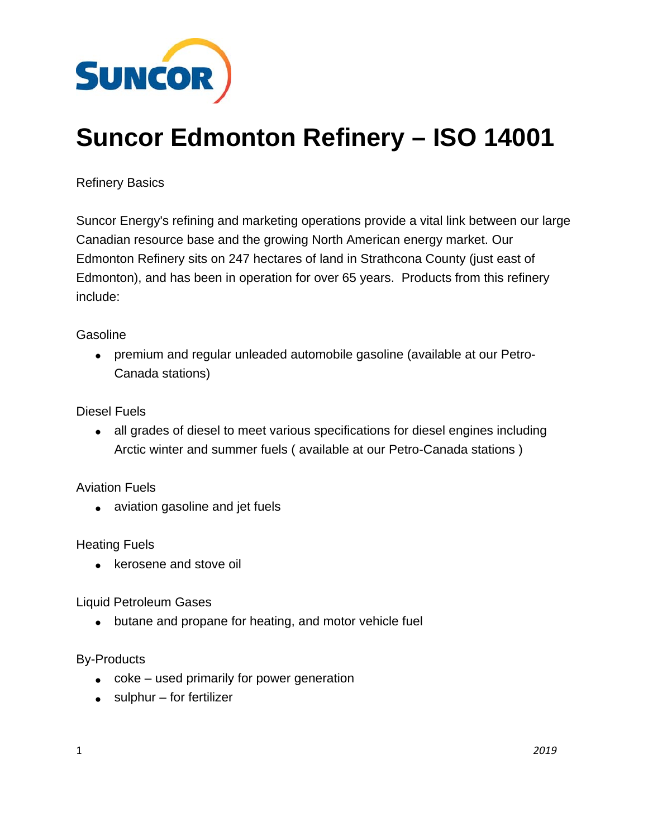

## **Suncor Edmonton Refinery – ISO 14001**

Refinery Basics

Suncor Energy's refining and marketing operations provide a vital link between our large Canadian resource base and the growing North American energy market. Our Edmonton Refinery sits on 247 hectares of land in Strathcona County (just east of Edmonton), and has been in operation for over 65 years. Products from this refinery include:

## **Gasoline**

 premium and regular unleaded automobile gasoline (available at our Petro-Canada stations)

Diesel Fuels

 all grades of diesel to meet various specifications for diesel engines including Arctic winter and summer fuels ( available at our Petro-Canada stations )

Aviation Fuels

• aviation gasoline and jet fuels

Heating Fuels

• kerosene and stove oil

Liquid Petroleum Gases

• butane and propane for heating, and motor vehicle fuel

## By-Products

- coke used primarily for power generation
- $\bullet$  sulphur for fertilizer